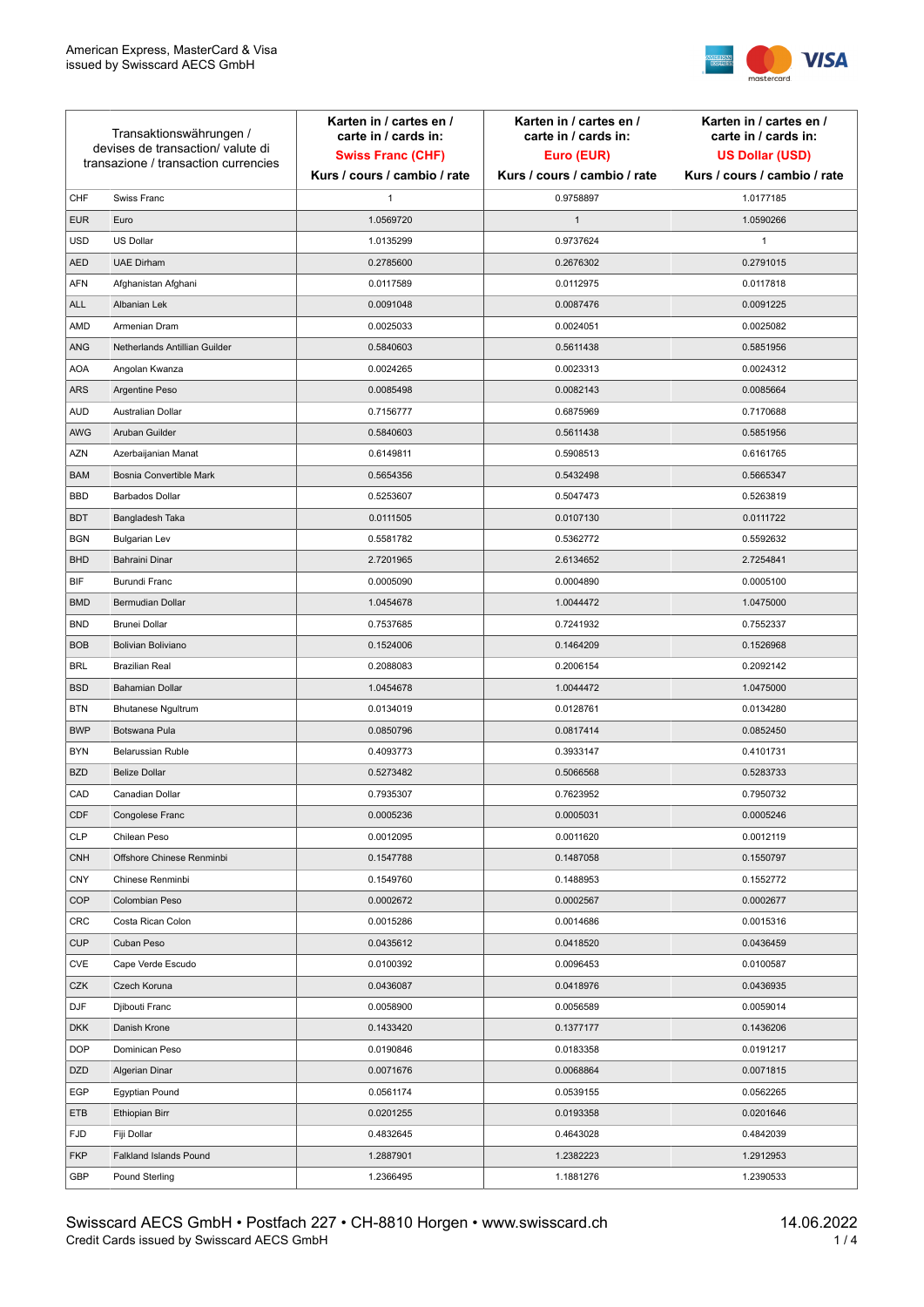

| Transaktionswährungen /<br>devises de transaction/valute di<br>transazione / transaction currencies |                               | Karten in / cartes en /<br>carte in / cards in:<br><b>Swiss Franc (CHF)</b><br>Kurs / cours / cambio / rate | Karten in / cartes en /<br>carte in / cards in:<br>Euro (EUR)<br>Kurs / cours / cambio / rate | Karten in / cartes en /<br>carte in / cards in:<br><b>US Dollar (USD)</b><br>Kurs / cours / cambio / rate |
|-----------------------------------------------------------------------------------------------------|-------------------------------|-------------------------------------------------------------------------------------------------------------|-----------------------------------------------------------------------------------------------|-----------------------------------------------------------------------------------------------------------|
|                                                                                                     |                               |                                                                                                             |                                                                                               |                                                                                                           |
| CHF                                                                                                 | Swiss Franc                   | 1                                                                                                           | 0.9758897                                                                                     | 1.0177185                                                                                                 |
| <b>EUR</b>                                                                                          | Euro                          | 1.0569720                                                                                                   | $\mathbf{1}$                                                                                  | 1.0590266                                                                                                 |
| <b>USD</b>                                                                                          | <b>US Dollar</b>              | 1.0135299                                                                                                   | 0.9737624                                                                                     | 1                                                                                                         |
| <b>AED</b>                                                                                          | <b>UAE Dirham</b>             | 0.2785600                                                                                                   | 0.2676302                                                                                     | 0.2791015                                                                                                 |
| AFN                                                                                                 | Afghanistan Afghani           | 0.0117589                                                                                                   | 0.0112975                                                                                     | 0.0117818                                                                                                 |
| <b>ALL</b>                                                                                          | Albanian Lek                  | 0.0091048                                                                                                   | 0.0087476                                                                                     | 0.0091225                                                                                                 |
| AMD                                                                                                 | Armenian Dram                 | 0.0025033                                                                                                   | 0.0024051                                                                                     | 0.0025082                                                                                                 |
| ANG                                                                                                 | Netherlands Antillian Guilder | 0.5840603                                                                                                   | 0.5611438                                                                                     | 0.5851956                                                                                                 |
| <b>AOA</b>                                                                                          | Angolan Kwanza                | 0.0024265                                                                                                   | 0.0023313                                                                                     | 0.0024312                                                                                                 |
| <b>ARS</b>                                                                                          | Argentine Peso                | 0.0085498                                                                                                   | 0.0082143                                                                                     | 0.0085664                                                                                                 |
| <b>AUD</b>                                                                                          | Australian Dollar             | 0.7156777                                                                                                   | 0.6875969                                                                                     | 0.7170688                                                                                                 |
| AWG                                                                                                 | Aruban Guilder                | 0.5840603                                                                                                   | 0.5611438                                                                                     | 0.5851956                                                                                                 |
| AZN                                                                                                 | Azerbaijanian Manat           | 0.6149811                                                                                                   | 0.5908513                                                                                     | 0.6161765                                                                                                 |
| <b>BAM</b>                                                                                          | Bosnia Convertible Mark       | 0.5654356                                                                                                   | 0.5432498                                                                                     | 0.5665347                                                                                                 |
| <b>BBD</b>                                                                                          | <b>Barbados Dollar</b>        | 0.5253607                                                                                                   | 0.5047473                                                                                     | 0.5263819                                                                                                 |
| <b>BDT</b>                                                                                          | Bangladesh Taka               | 0.0111505                                                                                                   | 0.0107130                                                                                     | 0.0111722                                                                                                 |
| <b>BGN</b>                                                                                          | <b>Bulgarian Lev</b>          | 0.5581782                                                                                                   | 0.5362772                                                                                     | 0.5592632                                                                                                 |
| <b>BHD</b>                                                                                          | Bahraini Dinar                | 2.7201965                                                                                                   | 2.6134652                                                                                     | 2.7254841                                                                                                 |
| <b>BIF</b>                                                                                          | Burundi Franc                 | 0.0005090                                                                                                   | 0.0004890                                                                                     | 0.0005100                                                                                                 |
| <b>BMD</b>                                                                                          | Bermudian Dollar              | 1.0454678                                                                                                   | 1.0044472                                                                                     | 1.0475000                                                                                                 |
| <b>BND</b>                                                                                          | Brunei Dollar                 | 0.7537685                                                                                                   | 0.7241932                                                                                     | 0.7552337                                                                                                 |
| <b>BOB</b>                                                                                          | <b>Bolivian Boliviano</b>     | 0.1524006                                                                                                   | 0.1464209                                                                                     | 0.1526968                                                                                                 |
| <b>BRL</b>                                                                                          | <b>Brazilian Real</b>         | 0.2088083                                                                                                   | 0.2006154                                                                                     | 0.2092142                                                                                                 |
| <b>BSD</b>                                                                                          | <b>Bahamian Dollar</b>        | 1.0454678                                                                                                   | 1.0044472                                                                                     | 1.0475000                                                                                                 |
| <b>BTN</b>                                                                                          | <b>Bhutanese Ngultrum</b>     | 0.0134019                                                                                                   | 0.0128761                                                                                     | 0.0134280                                                                                                 |
| <b>BWP</b>                                                                                          | Botswana Pula                 | 0.0850796                                                                                                   | 0.0817414                                                                                     | 0.0852450                                                                                                 |
| <b>BYN</b>                                                                                          | <b>Belarussian Ruble</b>      | 0.4093773                                                                                                   | 0.3933147                                                                                     | 0.4101731                                                                                                 |
| <b>BZD</b>                                                                                          | <b>Belize Dollar</b>          | 0.5273482                                                                                                   | 0.5066568                                                                                     | 0.5283733                                                                                                 |
| CAD                                                                                                 | Canadian Dollar               | 0.7935307                                                                                                   | 0.7623952                                                                                     | 0.7950732                                                                                                 |
| CDF                                                                                                 | Congolese Franc               | 0.0005236                                                                                                   | 0.0005031                                                                                     | 0.0005246                                                                                                 |
| <b>CLP</b>                                                                                          | Chilean Peso                  | 0.0012095                                                                                                   | 0.0011620                                                                                     | 0.0012119                                                                                                 |
| <b>CNH</b>                                                                                          | Offshore Chinese Renminbi     | 0.1547788                                                                                                   | 0.1487058                                                                                     | 0.1550797                                                                                                 |
| <b>CNY</b>                                                                                          | Chinese Renminbi              | 0.1549760                                                                                                   | 0.1488953                                                                                     | 0.1552772                                                                                                 |
| <b>COP</b>                                                                                          | Colombian Peso                | 0.0002672                                                                                                   | 0.0002567                                                                                     | 0.0002677                                                                                                 |
| CRC                                                                                                 | Costa Rican Colon             | 0.0015286                                                                                                   | 0.0014686                                                                                     | 0.0015316                                                                                                 |
| <b>CUP</b>                                                                                          | Cuban Peso                    | 0.0435612                                                                                                   | 0.0418520                                                                                     | 0.0436459                                                                                                 |
| CVE                                                                                                 | Cape Verde Escudo             | 0.0100392                                                                                                   | 0.0096453                                                                                     | 0.0100587                                                                                                 |
| CZK                                                                                                 | Czech Koruna                  | 0.0436087                                                                                                   | 0.0418976                                                                                     | 0.0436935                                                                                                 |
| DJF                                                                                                 | Djibouti Franc                | 0.0058900                                                                                                   | 0.0056589                                                                                     | 0.0059014                                                                                                 |
| <b>DKK</b>                                                                                          | Danish Krone                  | 0.1433420                                                                                                   | 0.1377177                                                                                     | 0.1436206                                                                                                 |
| <b>DOP</b>                                                                                          | Dominican Peso                | 0.0190846                                                                                                   | 0.0183358                                                                                     | 0.0191217                                                                                                 |
| DZD                                                                                                 | Algerian Dinar                | 0.0071676                                                                                                   | 0.0068864                                                                                     | 0.0071815                                                                                                 |
| EGP                                                                                                 | <b>Egyptian Pound</b>         | 0.0561174                                                                                                   | 0.0539155                                                                                     | 0.0562265                                                                                                 |
| ETB                                                                                                 | Ethiopian Birr                | 0.0201255                                                                                                   | 0.0193358                                                                                     | 0.0201646                                                                                                 |
| <b>FJD</b>                                                                                          | Fiji Dollar                   | 0.4832645                                                                                                   | 0.4643028                                                                                     | 0.4842039                                                                                                 |
| <b>FKP</b>                                                                                          | Falkland Islands Pound        | 1.2887901                                                                                                   | 1.2382223                                                                                     | 1.2912953                                                                                                 |
| GBP                                                                                                 | Pound Sterling                | 1.2366495                                                                                                   | 1.1881276                                                                                     | 1.2390533                                                                                                 |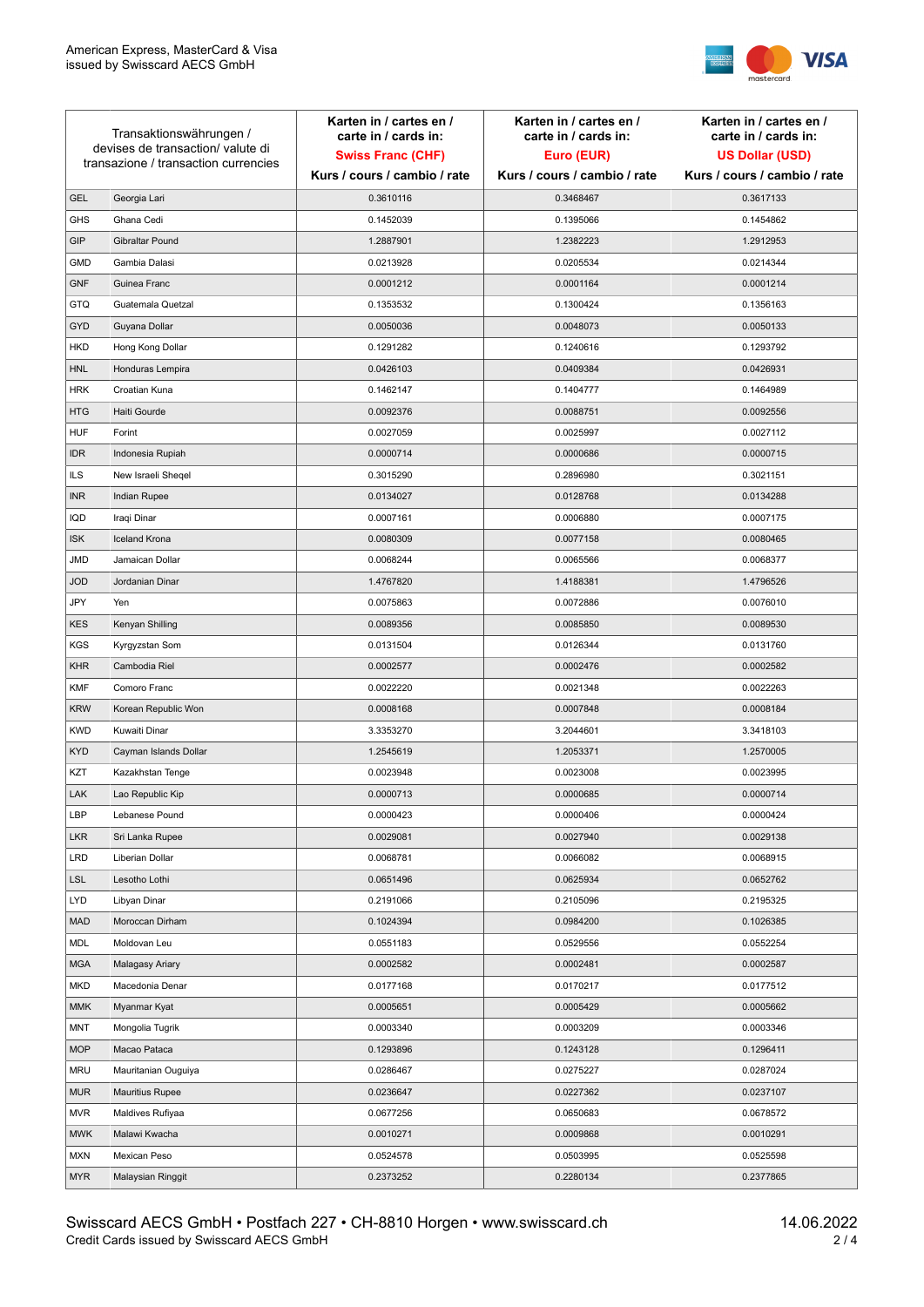

| Transaktionswährungen /<br>devises de transaction/valute di<br>transazione / transaction currencies |                        | Karten in / cartes en /<br>carte in / cards in: | Karten in / cartes en /<br>carte in / cards in: | Karten in / cartes en /<br>carte in / cards in: |
|-----------------------------------------------------------------------------------------------------|------------------------|-------------------------------------------------|-------------------------------------------------|-------------------------------------------------|
|                                                                                                     |                        | <b>Swiss Franc (CHF)</b>                        | Euro (EUR)                                      | <b>US Dollar (USD)</b>                          |
|                                                                                                     |                        | Kurs / cours / cambio / rate                    | Kurs / cours / cambio / rate                    | Kurs / cours / cambio / rate                    |
| <b>GEL</b>                                                                                          | Georgia Lari           | 0.3610116                                       | 0.3468467                                       | 0.3617133                                       |
| <b>GHS</b>                                                                                          | Ghana Cedi             | 0.1452039                                       | 0.1395066                                       | 0.1454862                                       |
| GIP                                                                                                 | Gibraltar Pound        | 1.2887901                                       | 1.2382223                                       | 1.2912953                                       |
| <b>GMD</b>                                                                                          | Gambia Dalasi          | 0.0213928                                       | 0.0205534                                       | 0.0214344                                       |
| <b>GNF</b>                                                                                          | Guinea Franc           | 0.0001212                                       | 0.0001164                                       | 0.0001214                                       |
| <b>GTQ</b>                                                                                          | Guatemala Quetzal      | 0.1353532                                       | 0.1300424                                       | 0.1356163                                       |
| GYD                                                                                                 | Guyana Dollar          | 0.0050036                                       | 0.0048073                                       | 0.0050133                                       |
| HKD                                                                                                 | Hong Kong Dollar       | 0.1291282                                       | 0.1240616                                       | 0.1293792                                       |
| <b>HNL</b>                                                                                          | Honduras Lempira       | 0.0426103                                       | 0.0409384                                       | 0.0426931                                       |
| <b>HRK</b>                                                                                          | Croatian Kuna          | 0.1462147                                       | 0.1404777                                       | 0.1464989                                       |
| <b>HTG</b>                                                                                          | Haiti Gourde           | 0.0092376                                       | 0.0088751                                       | 0.0092556                                       |
| <b>HUF</b>                                                                                          | Forint                 | 0.0027059                                       | 0.0025997                                       | 0.0027112                                       |
| <b>IDR</b>                                                                                          | Indonesia Rupiah       | 0.0000714                                       | 0.0000686                                       | 0.0000715                                       |
| <b>ILS</b>                                                                                          | New Israeli Sheqel     | 0.3015290                                       | 0.2896980                                       | 0.3021151                                       |
| <b>INR</b>                                                                                          | Indian Rupee           | 0.0134027                                       | 0.0128768                                       | 0.0134288                                       |
| IQD                                                                                                 | Iraqi Dinar            | 0.0007161                                       | 0.0006880                                       | 0.0007175                                       |
| <b>ISK</b>                                                                                          | <b>Iceland Krona</b>   | 0.0080309                                       | 0.0077158                                       | 0.0080465                                       |
| <b>JMD</b>                                                                                          | Jamaican Dollar        | 0.0068244                                       | 0.0065566                                       | 0.0068377                                       |
| <b>JOD</b>                                                                                          | Jordanian Dinar        | 1.4767820                                       | 1.4188381                                       | 1.4796526                                       |
| JPY                                                                                                 | Yen                    | 0.0075863                                       | 0.0072886                                       | 0.0076010                                       |
| <b>KES</b>                                                                                          | Kenyan Shilling        | 0.0089356                                       | 0.0085850                                       | 0.0089530                                       |
| <b>KGS</b>                                                                                          | Kyrgyzstan Som         | 0.0131504                                       | 0.0126344                                       | 0.0131760                                       |
| <b>KHR</b>                                                                                          | Cambodia Riel          | 0.0002577                                       | 0.0002476                                       | 0.0002582                                       |
| <b>KMF</b>                                                                                          | Comoro Franc           | 0.0022220                                       | 0.0021348                                       | 0.0022263                                       |
| <b>KRW</b>                                                                                          | Korean Republic Won    | 0.0008168                                       | 0.0007848                                       | 0.0008184                                       |
| <b>KWD</b>                                                                                          | Kuwaiti Dinar          | 3.3353270                                       | 3.2044601                                       | 3.3418103                                       |
| <b>KYD</b>                                                                                          | Cayman Islands Dollar  | 1.2545619                                       | 1.2053371                                       | 1.2570005                                       |
| KZT                                                                                                 | Kazakhstan Tenge       | 0.0023948                                       | 0.0023008                                       | 0.0023995                                       |
| LAK                                                                                                 | Lao Republic Kip       | 0.0000713                                       | 0.0000685                                       | 0.0000714                                       |
| LBP                                                                                                 | Lebanese Pound         | 0.0000423                                       | 0.0000406                                       | 0.0000424                                       |
| <b>LKR</b>                                                                                          | Sri Lanka Rupee        | 0.0029081                                       | 0.0027940                                       | 0.0029138                                       |
| <b>LRD</b>                                                                                          | Liberian Dollar        | 0.0068781                                       | 0.0066082                                       | 0.0068915                                       |
| <b>LSL</b>                                                                                          | Lesotho Lothi          | 0.0651496                                       | 0.0625934                                       | 0.0652762                                       |
| LYD                                                                                                 | Libyan Dinar           | 0.2191066                                       | 0.2105096                                       | 0.2195325                                       |
| <b>MAD</b>                                                                                          | Moroccan Dirham        | 0.1024394                                       | 0.0984200                                       | 0.1026385                                       |
| MDL                                                                                                 | Moldovan Leu           | 0.0551183                                       | 0.0529556                                       | 0.0552254                                       |
| <b>MGA</b>                                                                                          | Malagasy Ariary        | 0.0002582                                       | 0.0002481                                       | 0.0002587                                       |
| MKD                                                                                                 | Macedonia Denar        | 0.0177168                                       | 0.0170217                                       | 0.0177512                                       |
| <b>MMK</b>                                                                                          | Myanmar Kyat           | 0.0005651                                       | 0.0005429                                       | 0.0005662                                       |
| <b>MNT</b>                                                                                          | Mongolia Tugrik        | 0.0003340                                       | 0.0003209                                       | 0.0003346                                       |
| <b>MOP</b>                                                                                          | Macao Pataca           | 0.1293896                                       | 0.1243128                                       | 0.1296411                                       |
| <b>MRU</b>                                                                                          | Mauritanian Ouguiya    | 0.0286467                                       | 0.0275227                                       | 0.0287024                                       |
| <b>MUR</b>                                                                                          | <b>Mauritius Rupee</b> | 0.0236647                                       | 0.0227362                                       | 0.0237107                                       |
| <b>MVR</b>                                                                                          | Maldives Rufiyaa       | 0.0677256                                       | 0.0650683                                       | 0.0678572                                       |
| <b>MWK</b>                                                                                          | Malawi Kwacha          | 0.0010271                                       | 0.0009868                                       | 0.0010291                                       |
| <b>MXN</b>                                                                                          | Mexican Peso           | 0.0524578                                       | 0.0503995                                       | 0.0525598                                       |
| <b>MYR</b>                                                                                          | Malaysian Ringgit      | 0.2373252                                       | 0.2280134                                       | 0.2377865                                       |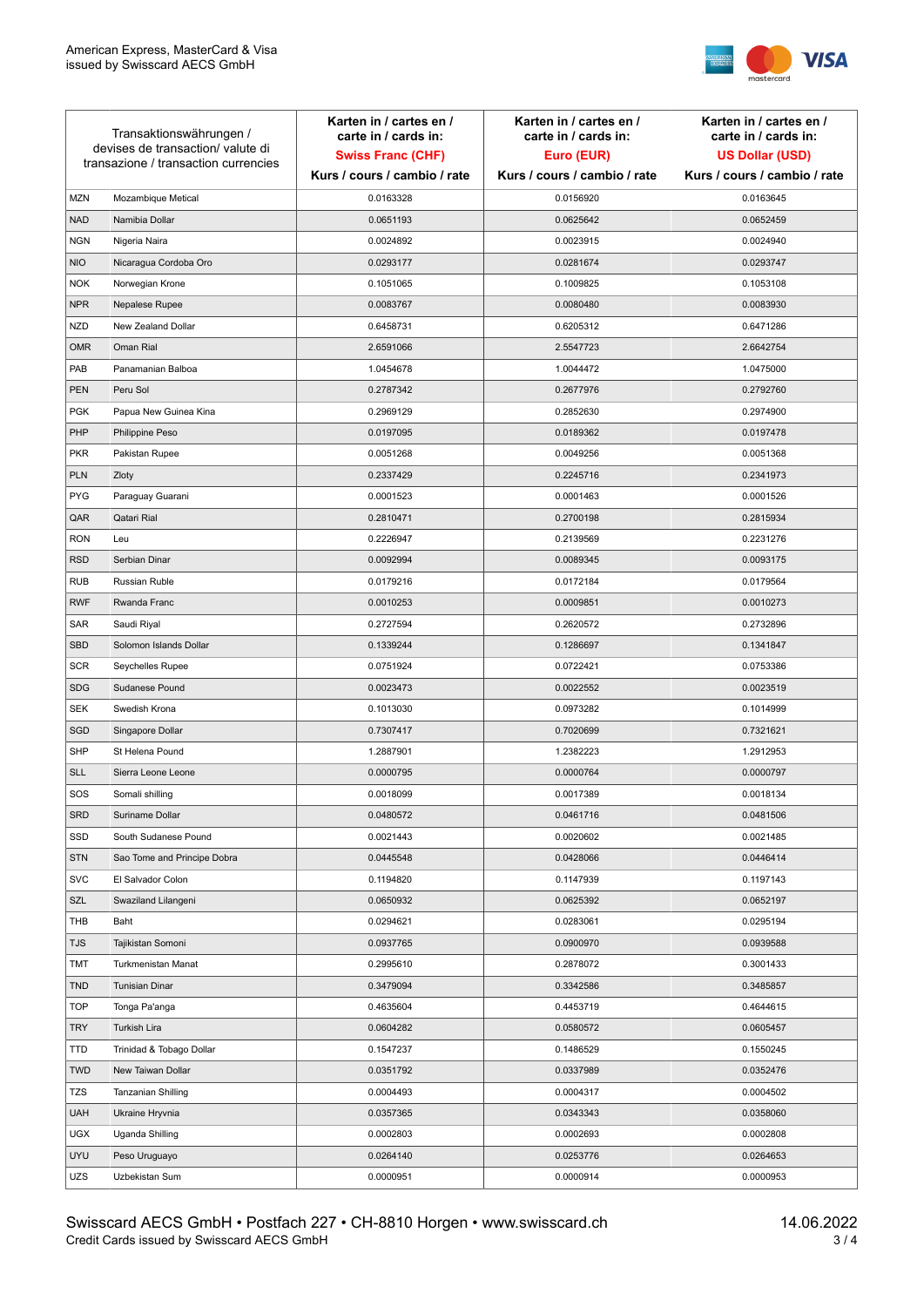

| Transaktionswährungen /<br>devises de transaction/valute di<br>transazione / transaction currencies |                             | Karten in / cartes en /<br>carte in / cards in:<br><b>Swiss Franc (CHF)</b> | Karten in / cartes en /<br>carte in / cards in:<br>Euro (EUR) | Karten in / cartes en /<br>carte in / cards in:<br><b>US Dollar (USD)</b> |
|-----------------------------------------------------------------------------------------------------|-----------------------------|-----------------------------------------------------------------------------|---------------------------------------------------------------|---------------------------------------------------------------------------|
|                                                                                                     |                             | Kurs / cours / cambio / rate                                                | Kurs / cours / cambio / rate                                  | Kurs / cours / cambio / rate                                              |
| <b>MZN</b>                                                                                          | Mozambique Metical          | 0.0163328                                                                   | 0.0156920                                                     | 0.0163645                                                                 |
| <b>NAD</b>                                                                                          | Namibia Dollar              | 0.0651193                                                                   | 0.0625642                                                     | 0.0652459                                                                 |
| <b>NGN</b>                                                                                          | Nigeria Naira               | 0.0024892                                                                   | 0.0023915                                                     | 0.0024940                                                                 |
| <b>NIO</b>                                                                                          | Nicaragua Cordoba Oro       | 0.0293177                                                                   | 0.0281674                                                     | 0.0293747                                                                 |
| <b>NOK</b>                                                                                          | Norwegian Krone             | 0.1051065                                                                   | 0.1009825                                                     | 0.1053108                                                                 |
| <b>NPR</b>                                                                                          | Nepalese Rupee              | 0.0083767                                                                   | 0.0080480                                                     | 0.0083930                                                                 |
| <b>NZD</b>                                                                                          | New Zealand Dollar          | 0.6458731                                                                   | 0.6205312                                                     | 0.6471286                                                                 |
| <b>OMR</b>                                                                                          | Oman Rial                   | 2.6591066                                                                   | 2.5547723                                                     | 2.6642754                                                                 |
| PAB                                                                                                 | Panamanian Balboa           | 1.0454678                                                                   | 1.0044472                                                     | 1.0475000                                                                 |
| <b>PEN</b>                                                                                          | Peru Sol                    | 0.2787342                                                                   | 0.2677976                                                     | 0.2792760                                                                 |
| <b>PGK</b>                                                                                          | Papua New Guinea Kina       | 0.2969129                                                                   | 0.2852630                                                     | 0.2974900                                                                 |
| PHP                                                                                                 | Philippine Peso             | 0.0197095                                                                   | 0.0189362                                                     | 0.0197478                                                                 |
| <b>PKR</b>                                                                                          | Pakistan Rupee              | 0.0051268                                                                   | 0.0049256                                                     | 0.0051368                                                                 |
| <b>PLN</b>                                                                                          | Zloty                       | 0.2337429                                                                   | 0.2245716                                                     | 0.2341973                                                                 |
| <b>PYG</b>                                                                                          | Paraguay Guarani            | 0.0001523                                                                   | 0.0001463                                                     | 0.0001526                                                                 |
| QAR                                                                                                 | Qatari Rial                 | 0.2810471                                                                   | 0.2700198                                                     | 0.2815934                                                                 |
| <b>RON</b>                                                                                          | Leu                         | 0.2226947                                                                   | 0.2139569                                                     | 0.2231276                                                                 |
| <b>RSD</b>                                                                                          | Serbian Dinar               | 0.0092994                                                                   | 0.0089345                                                     | 0.0093175                                                                 |
| <b>RUB</b>                                                                                          | <b>Russian Ruble</b>        | 0.0179216                                                                   | 0.0172184                                                     | 0.0179564                                                                 |
| <b>RWF</b>                                                                                          | Rwanda Franc                | 0.0010253                                                                   | 0.0009851                                                     | 0.0010273                                                                 |
| SAR                                                                                                 | Saudi Riyal                 | 0.2727594                                                                   | 0.2620572                                                     | 0.2732896                                                                 |
| <b>SBD</b>                                                                                          | Solomon Islands Dollar      | 0.1339244                                                                   | 0.1286697                                                     | 0.1341847                                                                 |
| <b>SCR</b>                                                                                          | Seychelles Rupee            | 0.0751924                                                                   | 0.0722421                                                     | 0.0753386                                                                 |
| <b>SDG</b>                                                                                          | Sudanese Pound              | 0.0023473                                                                   | 0.0022552                                                     | 0.0023519                                                                 |
| <b>SEK</b>                                                                                          | Swedish Krona               | 0.1013030                                                                   | 0.0973282                                                     | 0.1014999                                                                 |
| SGD                                                                                                 | Singapore Dollar            | 0.7307417                                                                   | 0.7020699                                                     | 0.7321621                                                                 |
| <b>SHP</b>                                                                                          | St Helena Pound             | 1.2887901                                                                   | 1.2382223                                                     | 1.2912953                                                                 |
| <b>SLL</b>                                                                                          | Sierra Leone Leone          | 0.0000795                                                                   | 0.0000764                                                     | 0.0000797                                                                 |
| SOS                                                                                                 | Somali shilling             | 0.0018099                                                                   | 0.0017389                                                     | 0.0018134                                                                 |
| <b>SRD</b>                                                                                          | Suriname Dollar             | 0.0480572                                                                   | 0.0461716                                                     | 0.0481506                                                                 |
| SSD                                                                                                 | South Sudanese Pound        | 0.0021443                                                                   | 0.0020602                                                     | 0.0021485                                                                 |
| <b>STN</b>                                                                                          | Sao Tome and Principe Dobra | 0.0445548                                                                   | 0.0428066                                                     | 0.0446414                                                                 |
| <b>SVC</b>                                                                                          | El Salvador Colon           | 0.1194820                                                                   | 0.1147939                                                     | 0.1197143                                                                 |
| SZL                                                                                                 | Swaziland Lilangeni         | 0.0650932                                                                   | 0.0625392                                                     | 0.0652197                                                                 |
| THB                                                                                                 | Baht                        | 0.0294621                                                                   | 0.0283061                                                     | 0.0295194                                                                 |
| <b>TJS</b>                                                                                          | Tajikistan Somoni           | 0.0937765                                                                   | 0.0900970                                                     | 0.0939588                                                                 |
| TMT                                                                                                 | Turkmenistan Manat          | 0.2995610                                                                   | 0.2878072                                                     | 0.3001433                                                                 |
| <b>TND</b>                                                                                          | <b>Tunisian Dinar</b>       | 0.3479094                                                                   | 0.3342586                                                     | 0.3485857                                                                 |
| <b>TOP</b>                                                                                          | Tonga Pa'anga               | 0.4635604                                                                   | 0.4453719                                                     | 0.4644615                                                                 |
| <b>TRY</b>                                                                                          | Turkish Lira                | 0.0604282                                                                   | 0.0580572                                                     | 0.0605457                                                                 |
| TTD                                                                                                 | Trinidad & Tobago Dollar    | 0.1547237                                                                   | 0.1486529                                                     | 0.1550245                                                                 |
| <b>TWD</b>                                                                                          | New Taiwan Dollar           | 0.0351792                                                                   | 0.0337989                                                     | 0.0352476                                                                 |
| TZS                                                                                                 | Tanzanian Shilling          | 0.0004493                                                                   | 0.0004317                                                     | 0.0004502                                                                 |
| <b>UAH</b>                                                                                          | Ukraine Hryvnia             | 0.0357365                                                                   | 0.0343343                                                     | 0.0358060                                                                 |
| <b>UGX</b>                                                                                          | Uganda Shilling             | 0.0002803                                                                   | 0.0002693                                                     | 0.0002808                                                                 |
| <b>UYU</b>                                                                                          | Peso Uruguayo               | 0.0264140                                                                   | 0.0253776                                                     | 0.0264653                                                                 |
| UZS                                                                                                 | Uzbekistan Sum              | 0.0000951                                                                   | 0.0000914                                                     | 0.0000953                                                                 |